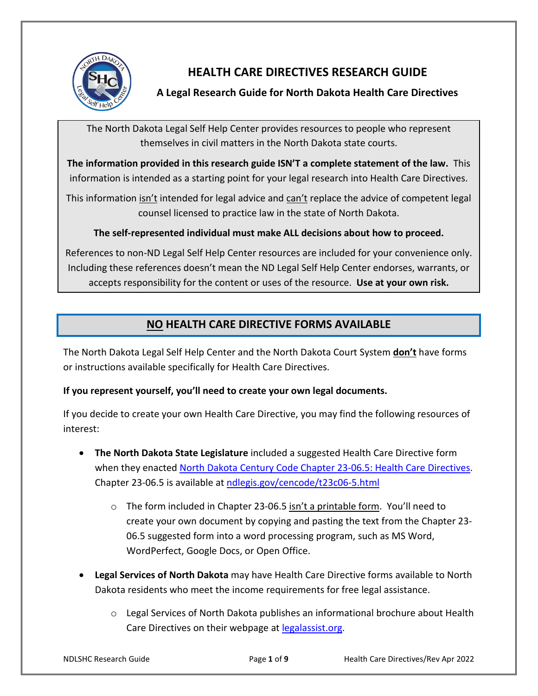

# **HEALTH CARE DIRECTIVES RESEARCH GUIDE**

## **A Legal Research Guide for North Dakota Health Care Directives**

The North Dakota Legal Self Help Center provides resources to people who represent themselves in civil matters in the North Dakota state courts.

**The information provided in this research guide ISN'T a complete statement of the law.** This information is intended as a starting point for your legal research into Health Care Directives.

This information isn't intended for legal advice and can't replace the advice of competent legal counsel licensed to practice law in the state of North Dakota.

**The self-represented individual must make ALL decisions about how to proceed.**

References to non-ND Legal Self Help Center resources are included for your convenience only. Including these references doesn't mean the ND Legal Self Help Center endorses, warrants, or accepts responsibility for the content or uses of the resource. **Use at your own risk.**

## **NO HEALTH CARE DIRECTIVE FORMS AVAILABLE**

The North Dakota Legal Self Help Center and the North Dakota Court System **don't** have forms or instructions available specifically for Health Care Directives.

#### **If you represent yourself, you'll need to create your own legal documents.**

If you decide to create your own Health Care Directive, you may find the following resources of interest:

- **The North Dakota State Legislature** included a suggested Health Care Directive form when they enacted [North Dakota Century Code Chapter 23-06.5: Health Care Directives.](https://ndlegis.gov/cencode/t23c06-5.html) Chapter 23-06.5 is available at [ndlegis.gov/cencode/t23c06-5.html](https://ndlegis.gov/cencode/t23c06-5.html)
	- $\circ$  The form included in Chapter 23-06.5 isn't a printable form. You'll need to create your own document by copying and pasting the text from the Chapter 23- 06.5 suggested form into a word processing program, such as MS Word, WordPerfect, Google Docs, or Open Office.
- **Legal Services of North Dakota** may have Health Care Directive forms available to North Dakota residents who meet the income requirements for free legal assistance.
	- o Legal Services of North Dakota publishes an informational brochure about Health Care Directives on their webpage at [legalassist.org.](http://www.legalassist.org/)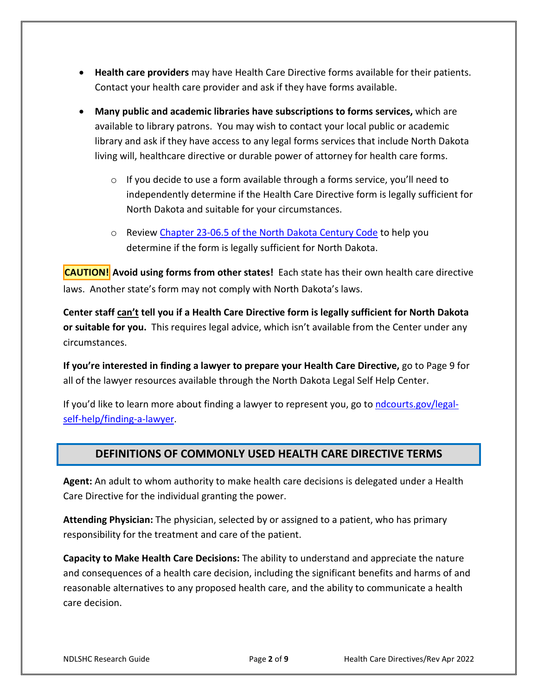- **Health care providers** may have Health Care Directive forms available for their patients. Contact your health care provider and ask if they have forms available.
- **Many public and academic libraries have subscriptions to forms services,** which are available to library patrons. You may wish to contact your local public or academic library and ask if they have access to any legal forms services that include North Dakota living will, healthcare directive or durable power of attorney for health care forms.
	- $\circ$  If you decide to use a form available through a forms service, you'll need to independently determine if the Health Care Directive form is legally sufficient for North Dakota and suitable for your circumstances.
	- o Review [Chapter 23-06.5 of the North Dakota Century Code](https://ndlegis.gov/cencode/t23c06-5.html) to help you determine if the form is legally sufficient for North Dakota.

**CAUTION! Avoid using forms from other states!** Each state has their own health care directive laws. Another state's form may not comply with North Dakota's laws.

**Center staff can't tell you if a Health Care Directive form is legally sufficient for North Dakota or suitable for you.** This requires legal advice, which isn't available from the Center under any circumstances.

**If you're interested in finding a lawyer to prepare your Health Care Directive,** go to Page 9 for all of the lawyer resources available through the North Dakota Legal Self Help Center.

If you'd like to learn more about finding a lawyer to represent you, go to [ndcourts.gov/legal](https://www.ndcourts.gov/legal-self-help/finding-a-lawyer)[self-help/finding-a-lawyer.](https://www.ndcourts.gov/legal-self-help/finding-a-lawyer)

### **DEFINITIONS OF COMMONLY USED HEALTH CARE DIRECTIVE TERMS**

**Agent:** An adult to whom authority to make health care decisions is delegated under a Health Care Directive for the individual granting the power.

**Attending Physician:** The physician, selected by or assigned to a patient, who has primary responsibility for the treatment and care of the patient.

**Capacity to Make Health Care Decisions:** The ability to understand and appreciate the nature and consequences of a health care decision, including the significant benefits and harms of and reasonable alternatives to any proposed health care, and the ability to communicate a health care decision.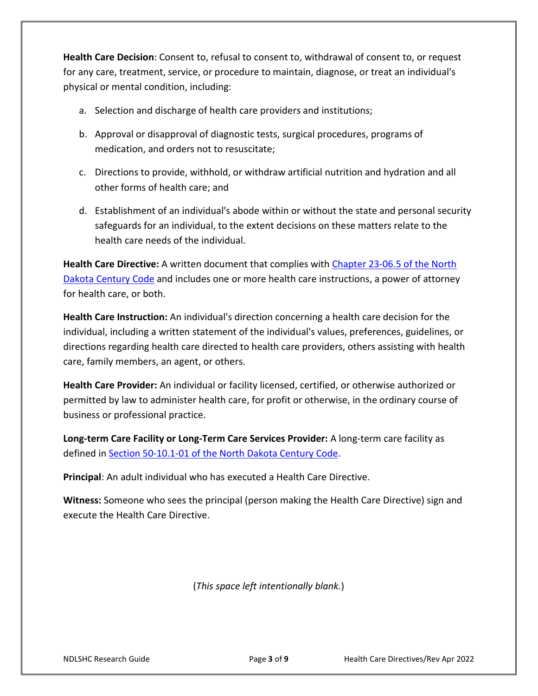**Health Care Decision**: Consent to, refusal to consent to, withdrawal of consent to, or request for any care, treatment, service, or procedure to maintain, diagnose, or treat an individual's physical or mental condition, including:

- a. Selection and discharge of health care providers and institutions;
- b. Approval or disapproval of diagnostic tests, surgical procedures, programs of medication, and orders not to resuscitate;
- c. Directions to provide, withhold, or withdraw artificial nutrition and hydration and all other forms of health care; and
- d. Establishment of an individual's abode within or without the state and personal security safeguards for an individual, to the extent decisions on these matters relate to the health care needs of the individual.

**Health Care Directive:** A written document that complies with [Chapter 23-06.5 of the North](https://ndlegis.gov/cencode/t23c06-5.html)  [Dakota Century Code](https://ndlegis.gov/cencode/t23c06-5.html) and includes one or more health care instructions, a power of attorney for health care, or both.

**Health Care Instruction:** An individual's direction concerning a health care decision for the individual, including a written statement of the individual's values, preferences, guidelines, or directions regarding health care directed to health care providers, others assisting with health care, family members, an agent, or others.

**Health Care Provider:** An individual or facility licensed, certified, or otherwise authorized or permitted by law to administer health care, for profit or otherwise, in the ordinary course of business or professional practice.

**Long-term Care Facility or Long-Term Care Services Provider:** A long-term care facility as defined in [Section 50-10.1-01 of the North Dakota Century Code.](https://ndlegis.gov/cencode/t50c01-1.pdf#nameddest=50-01p1-01)

**Principal**: An adult individual who has executed a Health Care Directive.

**Witness:** Someone who sees the principal (person making the Health Care Directive) sign and execute the Health Care Directive.

(*This space left intentionally blank.*)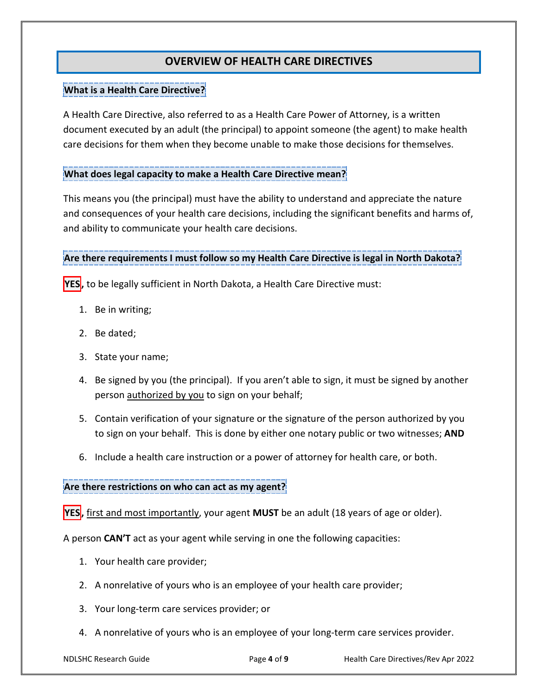## **OVERVIEW OF HEALTH CARE DIRECTIVES**

#### **What is a Health Care Directive?**

A Health Care Directive, also referred to as a Health Care Power of Attorney, is a written document executed by an adult (the principal) to appoint someone (the agent) to make health care decisions for them when they become unable to make those decisions for themselves.

#### **What does legal capacity to make a Health Care Directive mean?**

This means you (the principal) must have the ability to understand and appreciate the nature and consequences of your health care decisions, including the significant benefits and harms of, and ability to communicate your health care decisions.

**Are there requirements I must follow so my Health Care Directive is legal in North Dakota?**

**YES**, to be legally sufficient in North Dakota, a Health Care Directive must:

- 1. Be in writing;
- 2. Be dated;
- 3. State your name;
- 4. Be signed by you (the principal). If you aren't able to sign, it must be signed by another person authorized by you to sign on your behalf;
- 5. Contain verification of your signature or the signature of the person authorized by you to sign on your behalf. This is done by either one notary public or two witnesses; **AND**
- 6. Include a health care instruction or a power of attorney for health care, or both.

#### **Are there restrictions on who can act as my agent?**

**YES,** first and most importantly, your agent **MUST** be an adult (18 years of age or older).

A person **CAN'T** act as your agent while serving in one the following capacities:

- 1. Your health care provider;
- 2. A nonrelative of yours who is an employee of your health care provider;
- 3. Your long-term care services provider; or
- 4. A nonrelative of yours who is an employee of your long-term care services provider.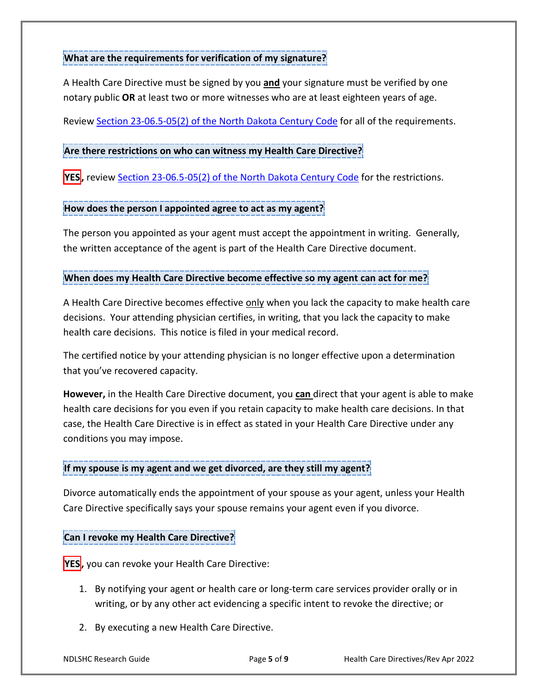#### **What are the requirements for verification of my signature?**

A Health Care Directive must be signed by you **and** your signature must be verified by one notary public **OR** at least two or more witnesses who are at least eighteen years of age.

Review [Section 23-06.5-05\(2\) of the North Dakota Century Code](https://www.legis.nd.gov/cencode/t23c06-5.pdf#nameddest=23-06p5-05) for all of the requirements.

#### **Are there restrictions on who can witness my Health Care Directive?**

**YES,** review [Section 23-06.5-05\(2\) of the North Dakota Century Code](https://ndlegis.gov/cencode/t23c06-5.pdf#nameddest=23-06p5-05) for the restrictions.

#### **How does the person I appointed agree to act as my agent?**

The person you appointed as your agent must accept the appointment in writing. Generally, the written acceptance of the agent is part of the Health Care Directive document.

#### **When does my Health Care Directive become effective so my agent can act for me?**

A Health Care Directive becomes effective only when you lack the capacity to make health care decisions. Your attending physician certifies, in writing, that you lack the capacity to make health care decisions. This notice is filed in your medical record.

The certified notice by your attending physician is no longer effective upon a determination that you've recovered capacity.

**However,** in the Health Care Directive document, you **can** direct that your agent is able to make health care decisions for you even if you retain capacity to make health care decisions. In that case, the Health Care Directive is in effect as stated in your Health Care Directive under any conditions you may impose.

#### **If my spouse is my agent and we get divorced, are they still my agent?**

Divorce automatically ends the appointment of your spouse as your agent, unless your Health Care Directive specifically says your spouse remains your agent even if you divorce.

#### **Can I revoke my Health Care Directive?**

- **YES,** you can revoke your Health Care Directive:
	- 1. By notifying your agent or health care or long-term care services provider orally or in writing, or by any other act evidencing a specific intent to revoke the directive; or
	- 2. By executing a new Health Care Directive.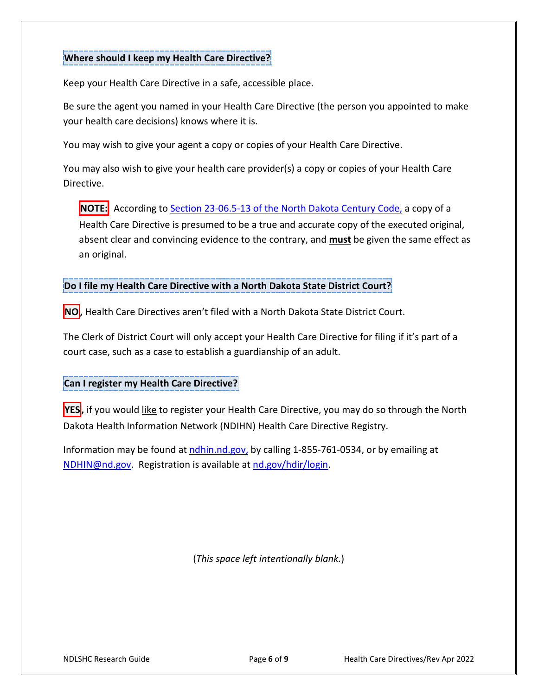#### **Where should I keep my Health Care Directive?**

Keep your Health Care Directive in a safe, accessible place.

Be sure the agent you named in your Health Care Directive (the person you appointed to make your health care decisions) knows where it is.

You may wish to give your agent a copy or copies of your Health Care Directive.

You may also wish to give your health care provider(s) a copy or copies of your Health Care Directive.

**NOTE:** According to **Section 23-06.5-13 of the North Dakota Century Code**, a copy of a Health Care Directive is presumed to be a true and accurate copy of the executed original, absent clear and convincing evidence to the contrary, and **must** be given the same effect as an original.

**Do I file my Health Care Directive with a North Dakota State District Court?**

**NO,** Health Care Directives aren't filed with a North Dakota State District Court.

The Clerk of District Court will only accept your Health Care Directive for filing if it's part of a court case, such as a case to establish a guardianship of an adult.

#### **Can I register my Health Care Directive?**

**YES,** if you would like to register your Health Care Directive, you may do so through the North Dakota Health Information Network (NDIHN) Health Care Directive Registry.

Information may be found at [ndhin.nd.gov,](https://www.ndhin.nd.gov/) by calling 1-855-761-0534, or by emailing at [NDHIN@nd.gov.](mailto:NDHIN@nd.gov) Registration is available at [nd.gov/hdir/login.](http://www.nd.gov/hdir/login)

(*This space left intentionally blank.*)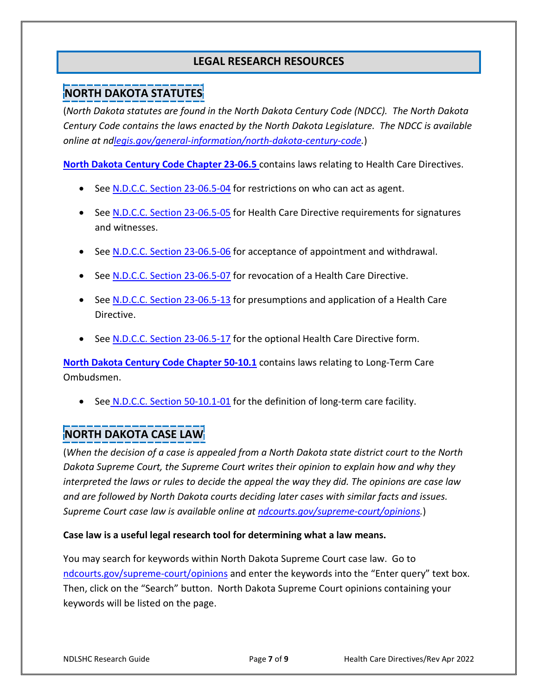## **LEGAL RESEARCH RESOURCES**

# **NORTH DAKOTA STATUTES**

(*North Dakota statutes are found in the North Dakota Century Code (NDCC). The North Dakota Century Code contains the laws enacted by the North Dakota Legislature. The NDCC is available online at n[dlegis.gov/general-information/north-dakota-century-code.](http://www.legis.nd.gov/general-information/north-dakota-century-code)*)

**[North Dakota Century Code Chapter 23-06.5](https://ndlegis.gov/cencode/t23c06-5.html)** contains laws relating to Health Care Directives[.](https://ndlegis.gov/cencode/t23c06-5.pdf#nameddest=23-06p5-04)

- See [N.D.C.C. Section 23-06.5-04](https://ndlegis.gov/cencode/t23c06-5.pdf#nameddest=23-06p5-04) for restrictions on who can act as agent.
- See [N.D.C.C. Section 23-06.5-05](https://ndlegis.gov/cencode/t23c06-5.pdf#nameddest=23-06p5-05) for Health Care Directive requirements for signatures and witnesses.
- See [N.D.C.C. Section 23-06.5-06](https://ndlegis.gov/cencode/t23c06-5.pdf#nameddest=23-06p5-06) for acceptance of appointment and withdrawal.
- See [N.D.C.C. Section 23-06.5-07](https://ndlegis.gov/cencode/t23c06-5.pdf#nameddest=23-06p5-07) for revocation of a Health Care Directive.
- See [N.D.C.C. Section 23-06.5-13](https://ndlegis.gov/cencode/t23c06-5.pdf#nameddest=23-06p5-13) for presumptions and application of a Health Care Directive.
- See [N.D.C.C. Section 23-06.5-17](https://ndlegis.gov/cencode/t23c06-5.pdf#nameddest=23-06p5-17) for the optional Health Care Directive form.

**[North Dakota Century Code Chapter 50-10.1](https://ndlegis.gov/cencode/t50c10-1.html)** contains laws relating to Long-Term Care Ombudsmen.

• See [N.D.C.C. Section 50-10.1-01](https://ndlegis.gov/cencode/t50c10-1.pdf#nameddest=50-10p1-01) for the definition of long-term care facility.

## **NORTH DAKOTA CASE LAW**

(*When the decision of a case is appealed from a North Dakota state district court to the North Dakota Supreme Court, the Supreme Court writes their opinion to explain how and why they interpreted the laws or rules to decide the appeal the way they did. The opinions are case law and are followed by North Dakota courts deciding later cases with similar facts and issues. Supreme Court case law is available online at [ndcourts.gov/supreme-court/opinions.](https://www.ndcourts.gov/supreme-court/opinions)*)

#### **Case law is a useful legal research tool for determining what a law means.**

You may search for keywords within North Dakota Supreme Court case law. Go to [ndcourts.gov/supreme-court/opinions](https://www.ndcourts.gov/supreme-court/opinions) and enter the keywords into the "Enter query" text box. Then, click on the "Search" button. North Dakota Supreme Court opinions containing your keywords will be listed on the page.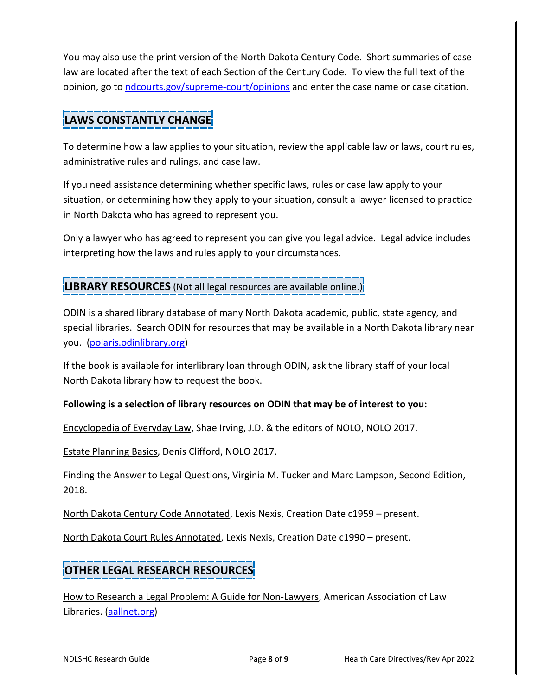You may also use the print version of the North Dakota Century Code. Short summaries of case law are located after the text of each Section of the Century Code. To view the full text of the opinion, go to [ndcourts.gov/supreme-court/opinions](https://www.ndcourts.gov/supreme-court/opinions) and enter the case name or case citation.

# **LAWS CONSTANTLY CHANGE**

To determine how a law applies to your situation, review the applicable law or laws, court rules, administrative rules and rulings, and case law.

If you need assistance determining whether specific laws, rules or case law apply to your situation, or determining how they apply to your situation, consult a lawyer licensed to practice in North Dakota who has agreed to represent you.

Only a lawyer who has agreed to represent you can give you legal advice. Legal advice includes interpreting how the laws and rules apply to your circumstances.

**LIBRARY RESOURCES** (Not all legal resources are available online.)

ODIN is a shared library database of many North Dakota academic, public, state agency, and special libraries. Search ODIN for resources that may be available in a North Dakota library near you. [\(polaris.odinlibrary.org\)](https://polaris.odinlibrary.org/polaris/default.aspx?ctx=36.1033.0.0.1)

If the book is available for interlibrary loan through ODIN, ask the library staff of your local North Dakota library how to request the book.

### **Following is a selection of library resources on ODIN that may be of interest to you:**

Encyclopedia of Everyday Law, Shae Irving, J.D. & the editors of NOLO, NOLO 2017.

Estate Planning Basics, Denis Clifford, NOLO 2017.

Finding the Answer to Legal Questions, Virginia M. Tucker and Marc Lampson, Second Edition, 2018.

North Dakota Century Code Annotated, Lexis Nexis, Creation Date c1959 – present.

North Dakota Court Rules Annotated, Lexis Nexis, Creation Date c1990 – present.

# **OTHER LEGAL RESEARCH RESOURCES**

How to Research a Legal Problem: A Guide for Non-Lawyers, American Association of Law Libraries. [\(aallnet.org\)](https://www.aallnet.org/knwlctr_publegal/how-to-research-a-legal-problem-a-guide-for-non-lawyers/)